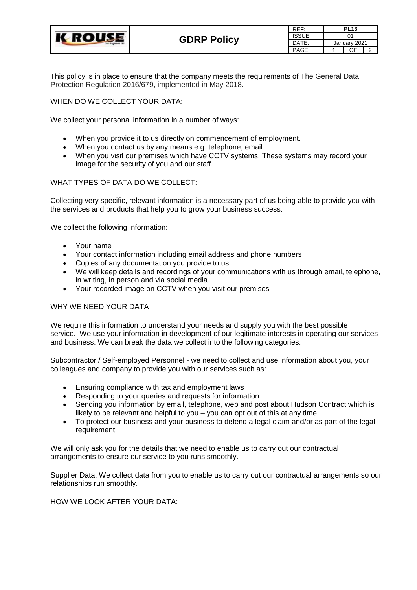

| RFF:   | <b>PL13</b>  |  |   |
|--------|--------------|--|---|
| ISSUE: | ሰ1           |  |   |
| DATE:  | January 2021 |  |   |
| PAGE:  |              |  | 2 |

This policy is in place to ensure that the company meets the requirements of The General Data Protection Regulation 2016/679, implemented in May 2018.

WHEN DO WE COLLECT YOUR DATA:

We collect your personal information in a number of ways:

- When you provide it to us directly on commencement of employment.
- When you contact us by any means e.g. telephone, email
- When you visit our premises which have CCTV systems. These systems may record your image for the security of you and our staff.

## WHAT TYPES OF DATA DO WE COLLECT:

Collecting very specific, relevant information is a necessary part of us being able to provide you with the services and products that help you to grow your business success.

We collect the following information:

- Your name
- Your contact information including email address and phone numbers
- Copies of any documentation you provide to us
- We will keep details and recordings of your communications with us through email, telephone, in writing, in person and via social media.
- Your recorded image on CCTV when you visit our premises

## WHY WE NEED YOUR DATA

We require this information to understand your needs and supply you with the best possible service. We use your information in development of our legitimate interests in operating our services and business. We can break the data we collect into the following categories:

Subcontractor / Self-employed Personnel - we need to collect and use information about you, your colleagues and company to provide you with our services such as:

- Ensuring compliance with tax and employment laws
- Responding to your queries and requests for information
- Sending you information by email, telephone, web and post about Hudson Contract which is likely to be relevant and helpful to you – you can opt out of this at any time
- To protect our business and your business to defend a legal claim and/or as part of the legal requirement

We will only ask you for the details that we need to enable us to carry out our contractual arrangements to ensure our service to you runs smoothly.

Supplier Data: We collect data from you to enable us to carry out our contractual arrangements so our relationships run smoothly.

HOW WE LOOK AFTER YOUR DATA: